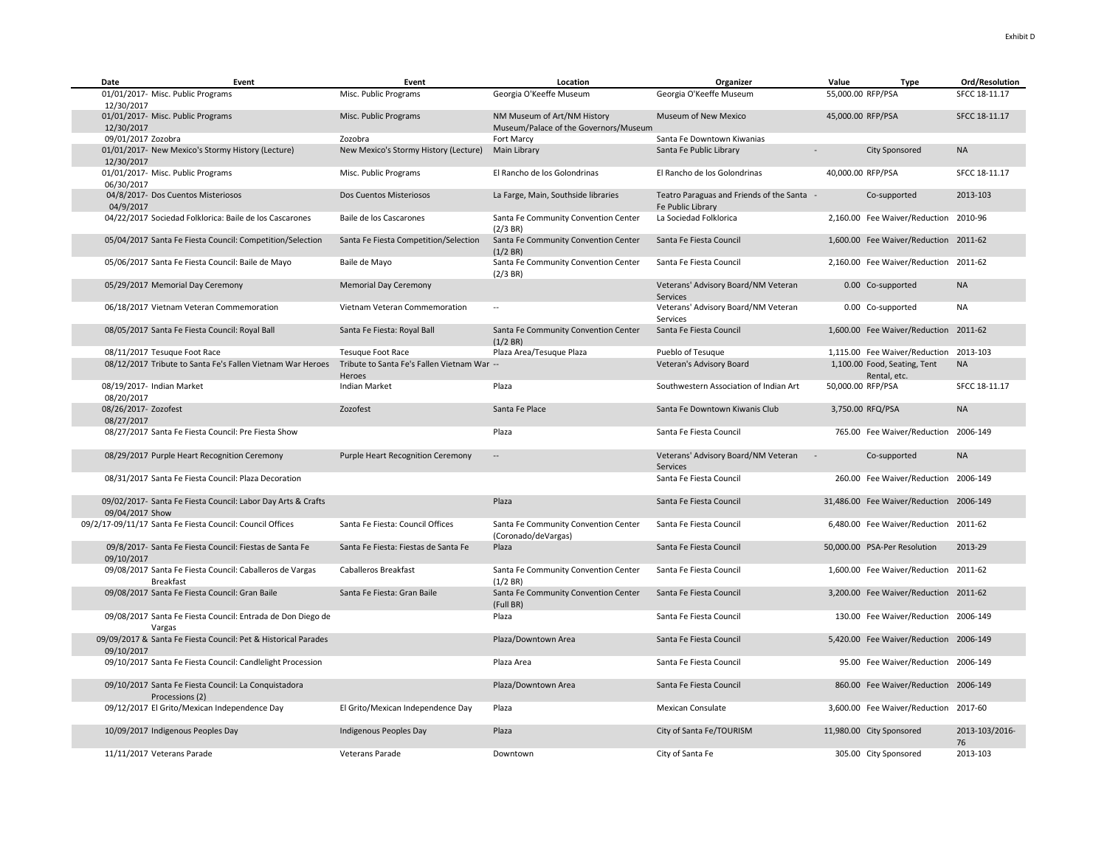| Date                               | Event                                                                        | Event                                                 | Location                                                             | Organizer                                                       | Value<br>Type                                | Ord/Resolution       |
|------------------------------------|------------------------------------------------------------------------------|-------------------------------------------------------|----------------------------------------------------------------------|-----------------------------------------------------------------|----------------------------------------------|----------------------|
| 12/30/2017                         | 01/01/2017- Misc. Public Programs                                            | Misc. Public Programs                                 | Georgia O'Keeffe Museum                                              | Georgia O'Keeffe Museum                                         | 55,000.00 RFP/PSA                            | SFCC 18-11.17        |
| 12/30/2017                         | 01/01/2017- Misc. Public Programs                                            | Misc. Public Programs                                 | NM Museum of Art/NM History<br>Museum/Palace of the Governors/Museum | Museum of New Mexico                                            | 45,000.00 RFP/PSA                            | SFCC 18-11.17        |
| 09/01/2017 Zozobra                 |                                                                              | Zozobra                                               | Fort Marcy                                                           | Santa Fe Downtown Kiwanias                                      |                                              |                      |
| 12/30/2017                         | 01/01/2017- New Mexico's Stormy History (Lecture)                            | New Mexico's Stormy History (Lecture)                 | Main Library                                                         | Santa Fe Public Library                                         | <b>City Sponsored</b>                        | <b>NA</b>            |
| 06/30/2017                         | 01/01/2017- Misc. Public Programs                                            | Misc. Public Programs                                 | El Rancho de los Golondrinas                                         | El Rancho de los Golondrinas                                    | 40,000.00 RFP/PSA                            | SFCC 18-11.17        |
| 04/9/2017                          | 04/8/2017- Dos Cuentos Misteriosos                                           | Dos Cuentos Misteriosos                               | La Farge, Main, Southside libraries                                  | Teatro Paraguas and Friends of the Santa -<br>Fe Public Library | Co-supported                                 | 2013-103             |
|                                    | 04/22/2017 Sociedad Folklorica: Baile de los Cascarones                      | Baile de los Cascarones                               | Santa Fe Community Convention Center<br>(2/3 BR)                     | La Sociedad Folklorica                                          | 2,160.00 Fee Waiver/Reduction 2010-96        |                      |
|                                    | 05/04/2017 Santa Fe Fiesta Council: Competition/Selection                    | Santa Fe Fiesta Competition/Selection                 | Santa Fe Community Convention Center<br>(1/2 BR)                     | Santa Fe Fiesta Council                                         | 1,600.00 Fee Waiver/Reduction 2011-62        |                      |
|                                    | 05/06/2017 Santa Fe Fiesta Council: Baile de Mayo                            | Baile de Mayo                                         | Santa Fe Community Convention Center<br>(2/3 BR)                     | Santa Fe Fiesta Council                                         | 2,160.00 Fee Waiver/Reduction 2011-62        |                      |
|                                    | 05/29/2017 Memorial Day Ceremony                                             | <b>Memorial Day Ceremony</b>                          |                                                                      | Veterans' Advisory Board/NM Veteran<br>Services                 | 0.00 Co-supported                            | <b>NA</b>            |
|                                    | 06/18/2017 Vietnam Veteran Commemoration                                     | Vietnam Veteran Commemoration                         | $\sim$                                                               | Veterans' Advisory Board/NM Veteran<br>Services                 | 0.00 Co-supported                            | <b>NA</b>            |
|                                    | 08/05/2017 Santa Fe Fiesta Council: Royal Ball                               | Santa Fe Fiesta: Royal Ball                           | Santa Fe Community Convention Center<br>(1/2 BR)                     | Santa Fe Fiesta Council                                         | 1,600.00 Fee Waiver/Reduction 2011-62        |                      |
|                                    | 08/11/2017 Tesuque Foot Race                                                 | <b>Tesuque Foot Race</b>                              | Plaza Area/Tesuque Plaza                                             | Pueblo of Tesuque                                               | 1,115.00 Fee Waiver/Reduction 2013-103       |                      |
|                                    | 08/12/2017 Tribute to Santa Fe's Fallen Vietnam War Heroes                   | Tribute to Santa Fe's Fallen Vietnam War --<br>Heroes |                                                                      | Veteran's Advisory Board                                        | 1,100.00 Food, Seating, Tent<br>Rental, etc. | <b>NA</b>            |
| 08/20/2017                         | 08/19/2017- Indian Market                                                    | Indian Market                                         | Plaza                                                                | Southwestern Association of Indian Art                          | 50,000.00 RFP/PSA                            | SFCC 18-11.17        |
| 08/26/2017- Zozofest<br>08/27/2017 |                                                                              | Zozofest                                              | Santa Fe Place                                                       | Santa Fe Downtown Kiwanis Club                                  | 3,750.00 RFQ/PSA                             | <b>NA</b>            |
|                                    | 08/27/2017 Santa Fe Fiesta Council: Pre Fiesta Show                          |                                                       | Plaza                                                                | Santa Fe Fiesta Council                                         | 765.00 Fee Waiver/Reduction 2006-149         |                      |
|                                    | 08/29/2017 Purple Heart Recognition Ceremony                                 | <b>Purple Heart Recognition Ceremony</b>              | $\overline{\phantom{a}}$                                             | Veterans' Advisory Board/NM Veteran<br><b>Services</b>          | Co-supported                                 | <b>NA</b>            |
|                                    | 08/31/2017 Santa Fe Fiesta Council: Plaza Decoration                         |                                                       |                                                                      | Santa Fe Fiesta Council                                         | 260.00 Fee Waiver/Reduction 2006-149         |                      |
| 09/04/2017 Show                    | 09/02/2017- Santa Fe Fiesta Council: Labor Day Arts & Crafts                 |                                                       | Plaza                                                                | Santa Fe Fiesta Council                                         | 31,486.00 Fee Waiver/Reduction 2006-149      |                      |
|                                    | 09/2/17-09/11/17 Santa Fe Fiesta Council: Council Offices                    | Santa Fe Fiesta: Council Offices                      | Santa Fe Community Convention Center<br>(Coronado/deVargas)          | Santa Fe Fiesta Council                                         | 6,480.00 Fee Waiver/Reduction 2011-62        |                      |
| 09/10/2017                         | 09/8/2017- Santa Fe Fiesta Council: Fiestas de Santa Fe                      | Santa Fe Fiesta: Fiestas de Santa Fe                  | Plaza                                                                | Santa Fe Fiesta Council                                         | 50,000.00 PSA-Per Resolution                 | 2013-29              |
|                                    | 09/08/2017 Santa Fe Fiesta Council: Caballeros de Vargas<br><b>Breakfast</b> | <b>Caballeros Breakfast</b>                           | Santa Fe Community Convention Center<br>(1/2 BR)                     | Santa Fe Fiesta Council                                         | 1,600.00 Fee Waiver/Reduction 2011-62        |                      |
|                                    | 09/08/2017 Santa Fe Fiesta Council: Gran Baile                               | Santa Fe Fiesta: Gran Baile                           | Santa Fe Community Convention Center<br>(Full BR)                    | Santa Fe Fiesta Council                                         | 3,200.00 Fee Waiver/Reduction 2011-62        |                      |
|                                    | 09/08/2017 Santa Fe Fiesta Council: Entrada de Don Diego de<br>Vargas        |                                                       | Plaza                                                                | Santa Fe Fiesta Council                                         | 130.00 Fee Waiver/Reduction 2006-149         |                      |
| 09/10/2017                         | 09/09/2017 & Santa Fe Fiesta Council: Pet & Historical Parades               |                                                       | Plaza/Downtown Area                                                  | Santa Fe Fiesta Council                                         | 5,420.00 Fee Waiver/Reduction 2006-149       |                      |
|                                    | 09/10/2017 Santa Fe Fiesta Council: Candlelight Procession                   |                                                       | Plaza Area                                                           | Santa Fe Fiesta Council                                         | 95.00 Fee Waiver/Reduction 2006-149          |                      |
|                                    | 09/10/2017 Santa Fe Fiesta Council: La Conquistadora<br>Processions (2)      |                                                       | Plaza/Downtown Area                                                  | Santa Fe Fiesta Council                                         | 860.00 Fee Waiver/Reduction 2006-149         |                      |
|                                    | 09/12/2017 El Grito/Mexican Independence Day                                 | El Grito/Mexican Independence Day                     | Plaza                                                                | Mexican Consulate                                               | 3,600.00 Fee Waiver/Reduction 2017-60        |                      |
|                                    | 10/09/2017 Indigenous Peoples Day                                            | Indigenous Peoples Day                                | Plaza                                                                | City of Santa Fe/TOURISM                                        | 11,980.00 City Sponsored                     | 2013-103/2016-<br>76 |
|                                    | 11/11/2017 Veterans Parade                                                   | Veterans Parade                                       | Downtown                                                             | City of Santa Fe                                                | 305.00 City Sponsored                        | 2013-103             |